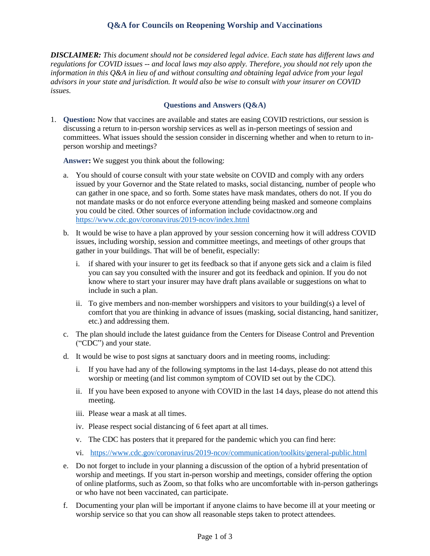## **Q&A for Councils on Reopening Worship and Vaccinations**

*DISCLAIMER: This document should not be considered legal advice. Each state has different laws and regulations for COVID issues -- and local laws may also apply. Therefore, you should not rely upon the information in this Q&A in lieu of and without consulting and obtaining legal advice from your legal advisors in your state and jurisdiction. It would also be wise to consult with your insurer on COVID issues.*

## **Questions and Answers (Q&A)**

1. **Question:** Now that vaccines are available and states are easing COVID restrictions, our session is discussing a return to in-person worship services as well as in-person meetings of session and committees. What issues should the session consider in discerning whether and when to return to inperson worship and meetings?

**Answer:** We suggest you think about the following:

- a. You should of course consult with your state website on COVID and comply with any orders issued by your Governor and the State related to masks, social distancing, number of people who can gather in one space, and so forth. Some states have mask mandates, others do not. If you do not mandate masks or do not enforce everyone attending being masked and someone complains you could be cited. Other sources of information include covidactnow.org and <https://www.cdc.gov/coronavirus/2019-ncov/index.html>
- b. It would be wise to have a plan approved by your session concerning how it will address COVID issues, including worship, session and committee meetings, and meetings of other groups that gather in your buildings. That will be of benefit, especially:
	- i. if shared with your insurer to get its feedback so that if anyone gets sick and a claim is filed you can say you consulted with the insurer and got its feedback and opinion. If you do not know where to start your insurer may have draft plans available or suggestions on what to include in such a plan.
	- ii. To give members and non-member worshippers and visitors to your building(s) a level of comfort that you are thinking in advance of issues (masking, social distancing, hand sanitizer, etc.) and addressing them.
- c. The plan should include the latest guidance from the Centers for Disease Control and Prevention ("CDC") and your state.
- d. It would be wise to post signs at sanctuary doors and in meeting rooms, including:
	- i. If you have had any of the following symptoms in the last 14-days, please do not attend this worship or meeting (and list common symptom of COVID set out by the CDC).
	- ii. If you have been exposed to anyone with COVID in the last 14 days, please do not attend this meeting.
	- iii. Please wear a mask at all times.
	- iv. Please respect social distancing of 6 feet apart at all times.
	- v. The CDC has posters that it prepared for the pandemic which you can find here:
	- vi. <https://www.cdc.gov/coronavirus/2019-ncov/communication/toolkits/general-public.html>
- e. Do not forget to include in your planning a discussion of the option of a hybrid presentation of worship and meetings. If you start in-person worship and meetings, consider offering the option of online platforms, such as Zoom, so that folks who are uncomfortable with in-person gatherings or who have not been vaccinated, can participate.
- f. Documenting your plan will be important if anyone claims to have become ill at your meeting or worship service so that you can show all reasonable steps taken to protect attendees.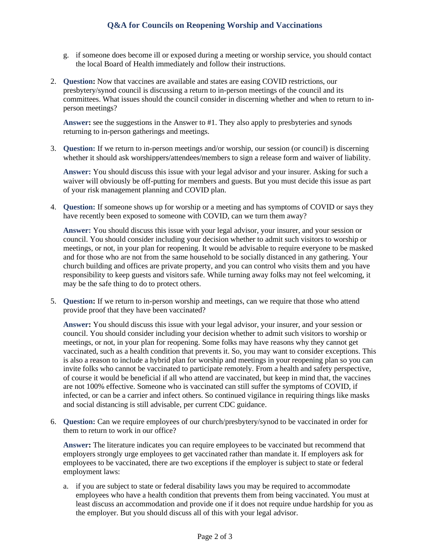- g. if someone does become ill or exposed during a meeting or worship service, you should contact the local Board of Health immediately and follow their instructions.
- 2. **Question:** Now that vaccines are available and states are easing COVID restrictions, our presbytery/synod council is discussing a return to in-person meetings of the council and its committees. What issues should the council consider in discerning whether and when to return to inperson meetings?

**Answer:** see the suggestions in the Answer to #1. They also apply to presbyteries and synods returning to in-person gatherings and meetings.

3. **Question:** If we return to in-person meetings and/or worship, our session (or council) is discerning whether it should ask worshippers/attendees/members to sign a release form and waiver of liability.

**Answer:** You should discuss this issue with your legal advisor and your insurer. Asking for such a waiver will obviously be off-putting for members and guests. But you must decide this issue as part of your risk management planning and COVID plan.

4. **Question:** If someone shows up for worship or a meeting and has symptoms of COVID or says they have recently been exposed to someone with COVID, can we turn them away?

**Answer:** You should discuss this issue with your legal advisor, your insurer, and your session or council. You should consider including your decision whether to admit such visitors to worship or meetings, or not, in your plan for reopening. It would be advisable to require everyone to be masked and for those who are not from the same household to be socially distanced in any gathering. Your church building and offices are private property, and you can control who visits them and you have responsibility to keep guests and visitors safe. While turning away folks may not feel welcoming, it may be the safe thing to do to protect others.

5. **Question:** If we return to in-person worship and meetings, can we require that those who attend provide proof that they have been vaccinated?

**Answer:** You should discuss this issue with your legal advisor, your insurer, and your session or council. You should consider including your decision whether to admit such visitors to worship or meetings, or not, in your plan for reopening. Some folks may have reasons why they cannot get vaccinated, such as a health condition that prevents it. So, you may want to consider exceptions. This is also a reason to include a hybrid plan for worship and meetings in your reopening plan so you can invite folks who cannot be vaccinated to participate remotely. From a health and safety perspective, of course it would be beneficial if all who attend are vaccinated, but keep in mind that, the vaccines are not 100% effective. Someone who is vaccinated can still suffer the symptoms of COVID, if infected, or can be a carrier and infect others. So continued vigilance in requiring things like masks and social distancing is still advisable, per current CDC guidance.

6. **Question:** Can we require employees of our church/presbytery/synod to be vaccinated in order for them to return to work in our office?

**Answer:** The literature indicates you can require employees to be vaccinated but recommend that employers strongly urge employees to get vaccinated rather than mandate it. If employers ask for employees to be vaccinated, there are two exceptions if the employer is subject to state or federal employment laws:

a. if you are subject to state or federal disability laws you may be required to accommodate employees who have a health condition that prevents them from being vaccinated. You must at least discuss an accommodation and provide one if it does not require undue hardship for you as the employer. But you should discuss all of this with your legal advisor.